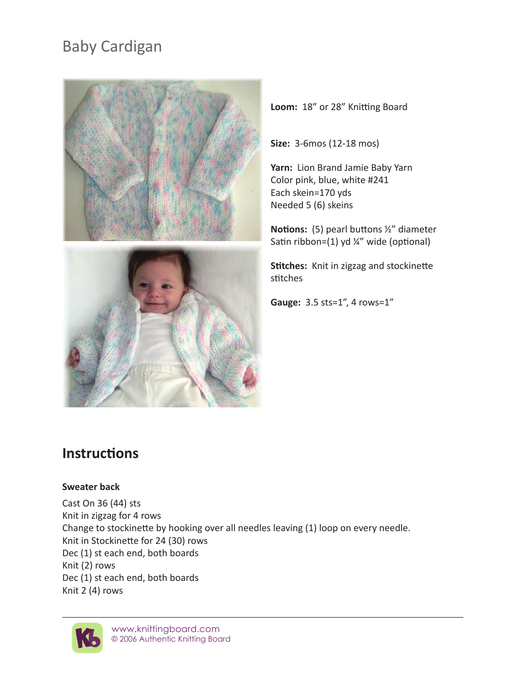# Baby Cardigan



**Loom:** 18" or 28" Knitting Board

**Size:** 3-6mos (12-18 mos)

**Yarn:** Lion Brand Jamie Baby Yarn Color pink, blue, white #241 Each skein=170 yds Needed 5 (6) skeins

**Notions:** (5) pearl buttons ½" diameter Satin ribbon=(1) yd ¼" wide (optional)

**Stitches:** Knit in zigzag and stockinette stitches

**Gauge:** 3.5 sts=1", 4 rows=1"

# **Instructions**

#### **Sweater back**

Cast On 36 (44) sts Knit in zigzag for 4 rows Change to stockinette by hooking over all needles leaving (1) loop on every needle. Knit in Stockinette for 24 (30) rows Dec (1) st each end, both boards Knit (2) rows Dec (1) st each end, both boards Knit 2 (4) rows

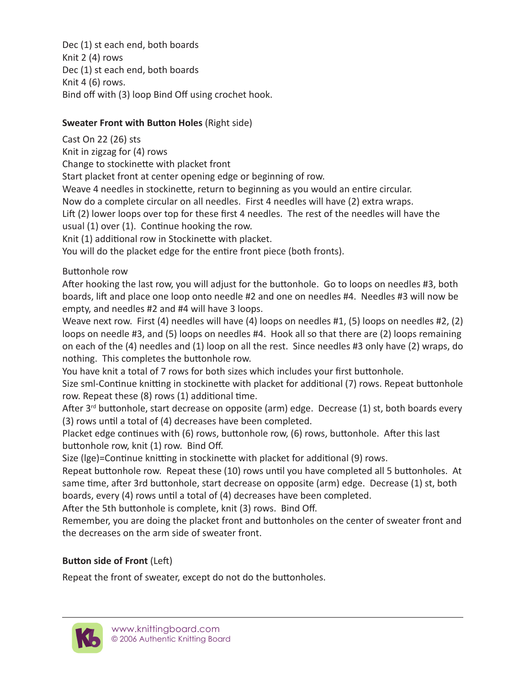Dec (1) st each end, both boards Knit 2 (4) rows Dec (1) st each end, both boards Knit 4 (6) rows. Bind off with (3) loop Bind Off using crochet hook.

## **Sweater Front with Button Holes** (Right side)

Cast On 22 (26) sts Knit in zigzag for (4) rows Change to stockinette with placket front Start placket front at center opening edge or beginning of row. Weave 4 needles in stockinette, return to beginning as you would an entire circular. Now do a complete circular on all needles. First 4 needles will have (2) extra wraps. Lift (2) lower loops over top for these first 4 needles. The rest of the needles will have the usual (1) over (1). Continue hooking the row. Knit (1) additional row in Stockinette with placket. You will do the placket edge for the entire front piece (both fronts).

Buttonhole row

After hooking the last row, you will adjust for the buttonhole. Go to loops on needles #3, both boards, lift and place one loop onto needle #2 and one on needles #4. Needles #3 will now be empty, and needles #2 and #4 will have 3 loops.

Weave next row. First (4) needles will have (4) loops on needles #1, (5) loops on needles #2, (2) loops on needle #3, and (5) loops on needles #4. Hook all so that there are (2) loops remaining on each of the (4) needles and (1) loop on all the rest. Since needles #3 only have (2) wraps, do nothing. This completes the buttonhole row.

You have knit a total of 7 rows for both sizes which includes your first buttonhole.

Size sml-Continue knitting in stockinette with placket for additional (7) rows. Repeat buttonhole row. Repeat these (8) rows (1) additional time.

After 3<sup>rd</sup> buttonhole, start decrease on opposite (arm) edge. Decrease (1) st, both boards every (3) rows until a total of (4) decreases have been completed.

Placket edge continues with (6) rows, buttonhole row, (6) rows, buttonhole. After this last buttonhole row, knit (1) row. Bind Off.

Size (lge)=Continue knitting in stockinette with placket for additional (9) rows.

Repeat buttonhole row. Repeat these (10) rows until you have completed all 5 buttonholes. At same time, after 3rd buttonhole, start decrease on opposite (arm) edge. Decrease (1) st, both boards, every (4) rows until a total of (4) decreases have been completed.

After the 5th buttonhole is complete, knit (3) rows. Bind Off.

Remember, you are doing the placket front and buttonholes on the center of sweater front and the decreases on the arm side of sweater front.

# **Button side of Front** (Left)

Repeat the front of sweater, except do not do the buttonholes.